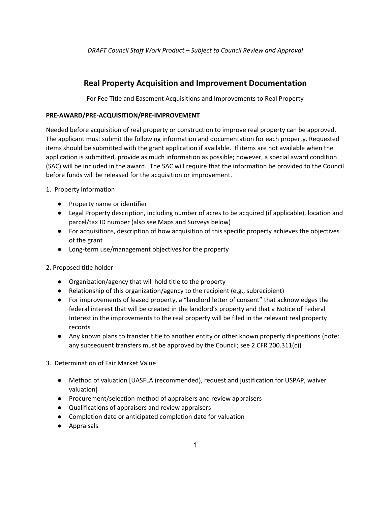# **Real Property Acquisition and Improvement Documentation**

For Fee Title and Easement Acquisitions and Improvements to Real Property

## **PRE-AWARD/PRE-ACQUISITION/PRE-IMPROVEMENT**

Needed before acquisition of real property or construction to improve real property can be approved. The applicant must submit the following information and documentation for each property. Requested items should be submitted with the grant application if available. If items are not available when the application is submitted, provide as much information as possible; however, a special award condition (SAC) will be included in the award. The SAC will require that the information be provided to the Council before funds will be released for the acquisition or improvement.

- 1. Property information
	- Property name or identifier
	- Legal Property description, including number of acres to be acquired (if applicable), location and parcel/tax ID number (also see Maps and Surveys below)
	- For acquisitions, description of how acquisition of this specific property achieves the objectives of the grant
	- Long-term use/management objectives for the property

## 2. Proposed title holder

- Organization/agency that will hold title to the property
- Relationship of this organization/agency to the recipient (e.g., subrecipient)
- For improvements of leased property, a "landlord letter of consent" that acknowledges the federal interest that will be created in the landlord's property and that a Notice of Federal Interest in the improvements to the real property will be filed in the relevant real property records
- Any known plans to transfer title to another entity or other known property dispositions (note: any subsequent transfers must be approved by the Council; see 2 CFR 200.311(c))
- 3. Determination of Fair Market Value
	- Method of valuation [UASFLA (recommended), request and justification for USPAP, waiver valuation]
	- Procurement/selection method of appraisers and review appraisers
	- Qualifications of appraisers and review appraisers
	- Completion date or anticipated completion date for valuation
	- Appraisals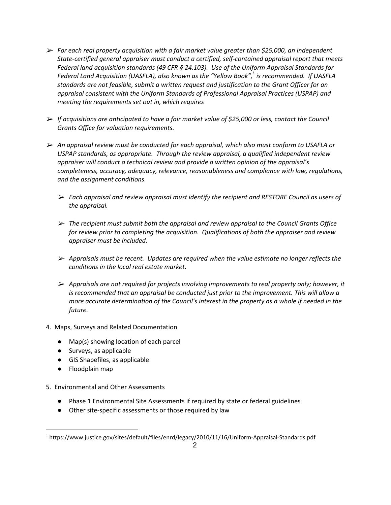- ➢ *For each real property acquisition with a fair market value greater than \$25,000, an independent State-certified general appraiser must conduct a certified, self-contained appraisal report that meets Federal land acquisition standards (49 CFR § 24.103). Use of the Uniform Appraisal Standards for Federal Land Acquisition (UASFLA), also known as the "Yellow Book", is recommended. If UASFLA 1 standards are not feasible, submit a written request and justification to the Grant Officer for an appraisal consistent with the Uniform Standards of Professional Appraisal Practices (USPAP) and meeting the requirements set out in, which requires*
- ➢ *If acquisitions are anticipated to have a fair market value of \$25,000 or less, contact the Council Grants Office for valuation requirements.*
- ➢ *An appraisal review must be conducted for each appraisal, which also must conform to USAFLA or USPAP standards, as appropriate. Through the review appraisal, a qualified independent review appraiser will conduct a technical review and provide a written opinion of the appraisal's completeness, accuracy, adequacy, relevance, reasonableness and compliance with law, regulations, and the assignment conditions.*
	- ➢ *Each appraisal and review appraisal must identify the recipient and RESTORE Council as users of the appraisal.*
	- ➢ *The recipient must submit both the appraisal and review appraisal to the Council Grants Office for review prior to completing the acquisition. Qualifications of both the appraiser and review appraiser must be included.*
	- ➢ *Appraisals must be recent. Updates are required when the value estimate no longer reflects the conditions in the local real estate market.*
	- ➢ *Appraisals are not required for projects involving improvements to real property only; however, it is recommended that an appraisal be conducted just prior to the improvement. This will allow a more accurate determination of the Council's interest in the property as a whole if needed in the future.*
- 4. Maps, Surveys and Related Documentation
	- Map(s) showing location of each parcel
	- Surveys, as applicable
	- GIS Shapefiles, as applicable
	- Floodplain map
- 5. Environmental and Other Assessments
	- Phase 1 Environmental Site Assessments if required by state or federal guidelines
	- Other site-specific assessments or those required by law

<sup>1</sup> https://www.justice.gov/sites/default/files/enrd/legacy/2010/11/16/Uniform-Appraisal-Standards.pdf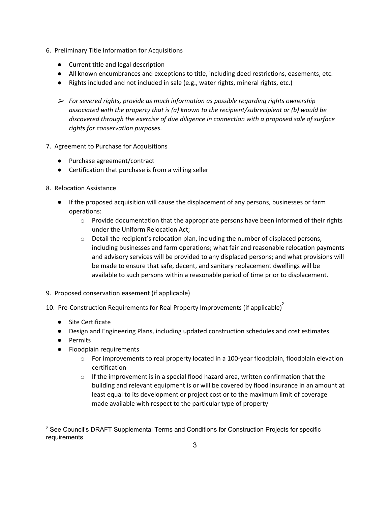- 6. Preliminary Title Information for Acquisitions
	- Current title and legal description
	- All known encumbrances and exceptions to title, including deed restrictions, easements, etc.
	- Rights included and not included in sale (e.g., water rights, mineral rights, etc.)
	- ➢ *For severed rights, provide as much information as possible regarding rights ownership associated with the property that is (a) known to the recipient/subrecipient or (b) would be discovered through the exercise of due diligence in connection with a proposed sale of surface rights for conservation purposes.*
- 7. Agreement to Purchase for Acquisitions
	- Purchase agreement/contract
	- Certification that purchase is from a willing seller
- 8. Relocation Assistance
	- If the proposed acquisition will cause the displacement of any persons, businesses or farm operations:
		- $\circ$  Provide documentation that the appropriate persons have been informed of their rights under the Uniform Relocation Act;
		- $\circ$  Detail the recipient's relocation plan, including the number of displaced persons, including businesses and farm operations; what fair and reasonable relocation payments and advisory services will be provided to any displaced persons; and what provisions will be made to ensure that safe, decent, and sanitary replacement dwellings will be available to such persons within a reasonable period of time prior to displacement.
- 9. Proposed conservation easement (if applicable)
- 10. Pre-Construction Requirements for Real Property Improvements (if applicable) $^{2}$ 
	- Site Certificate
	- Design and Engineering Plans, including updated construction schedules and cost estimates
	- Permits
	- Floodplain requirements
		- $\circ$  For improvements to real property located in a 100-year floodplain, floodplain elevation certification
		- $\circ$  If the improvement is in a special flood hazard area, written confirmation that the building and relevant equipment is or will be covered by flood insurance in an amount at least equal to its development or project cost or to the maximum limit of coverage made available with respect to the particular type of property

<sup>&</sup>lt;sup>2</sup> See Council's DRAFT Supplemental Terms and Conditions for Construction Projects for specific requirements